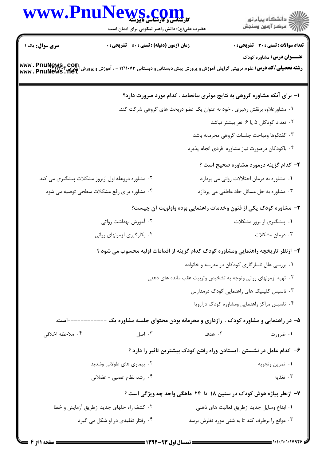|                            | WWW.PnuNews.com                                                                                                                                                         |        | ر<br>دانشڪاه پيام نور)<br>سرڪز آزمون وسنڊش                                  |
|----------------------------|-------------------------------------------------------------------------------------------------------------------------------------------------------------------------|--------|-----------------------------------------------------------------------------|
|                            | حضرت علی(ع): دانش راهبر نیکویی برای ایمان است                                                                                                                           |        |                                                                             |
| <b>سری سوال :</b> یک ۱     | <b>زمان آزمون (دقیقه) : تستی : 50 ٪ تشریحی : 0</b>                                                                                                                      |        | تعداد سوالات : تستي : 30 - تشريحي : 0                                       |
|                            | <b>رشته تحصیلی/کد درس:</b> علوم تربیتی گرایش آموزش و پرورش پیش دبستانی و دبستانی ۱۲۱۱۰۷۳ - ، آموزش و پرورش انتدایی <b>, www . PnuNews . net</b><br> www . PnuNews . Net |        | <b>عنـــوان درس:</b> مشاوره کودک                                            |
|                            |                                                                                                                                                                         |        | ۱– برای آنکه مشاوره گروهی به نتایج موثری بیانجامد . کدام مورد ضرورت دارد؟   |
|                            |                                                                                                                                                                         |        | ۰۱ مشاورعلاوه برنقش رهبری . خود به عنوان یک عضو دربحث های گروهی شرکت کند.   |
|                            |                                                                                                                                                                         |        | ۰۲ تعداد کودکان ۵ یا ۶ نفر بیشتر نباشد                                      |
|                            |                                                                                                                                                                         |        | ۰۳ گفتگوها ومباحث جلسات گروهی محرمانه باشد                                  |
|                            |                                                                                                                                                                         |        | ۰۴ باکودکان درصورت نیاز مشاوره فردی انجام پذیرد                             |
|                            |                                                                                                                                                                         |        | <b>۲</b> - کدام گزینه درمورد مشاوره صحیح است ؟                              |
|                            | ۰۲ مشاوره دروهله اول ازبروز مشکلات پیشگیری می کند                                                                                                                       |        | ۰۱ مشاوره به درمان اختلالات روانی می پردازد                                 |
|                            | ۰۴ مشاوره برای رفع مشکلات سطحی توصیه می شود                                                                                                                             |        | ۰۳ مشاوره به حل مسائل حاد عاطفی می پردازد                                   |
|                            |                                                                                                                                                                         |        | ۳- مشاوره کودک یکی از فنون وخدمات راهنمایی بوده واولویت آن چیست؟            |
|                            | ۰۲ آموزش بهداشت رواتی                                                                                                                                                   |        | ۰۱ پیشگیری از بروز مشکلات                                                   |
|                            | ۰۴ بکارگیری آزمونهای روانی                                                                                                                                              |        | ۰۳ درمان مشکلات                                                             |
|                            | ۴– ازنظر تاریخچه راهنمایی ومشاوره کودک کدام گزینه از اقدامات اولیه محسوب می شود ؟                                                                                       |        |                                                                             |
|                            |                                                                                                                                                                         |        | ۰۱ بررسی علل ناسازگاری کودکان در مدرسه و خانواده                            |
|                            |                                                                                                                                                                         |        | ۰۲ تهیه آزمونهای روانی وتوجه به تشخیص وتربیت عقب مانده های ذهنی             |
|                            |                                                                                                                                                                         |        | ۰۳ تاسیس کلینیک های راهنمایی کودک درمدارس                                   |
|                            |                                                                                                                                                                         |        | ۰۴ تاسیس مراکز راهنمایی ومشاوره کودک دراروپا                                |
| -------است.                |                                                                                                                                                                         |        | ۵- در راهنمایی و مشاوره کودک . رازداری و محرمانه بودن محتوای جلسه مشاوره یک |
| ۰۴ ملاحظه اخلاقی           | ۰۳ اصل                                                                                                                                                                  | ۰۲ هدف | ۰۱ ضرورت                                                                    |
|                            |                                                                                                                                                                         |        | ۶– کدام عامل در نشستن . ایستادن وراه رفتن کودک بیشترین تاثیر را دارد ؟      |
| ۰۲ بیماری های طولانی وشدید |                                                                                                                                                                         |        | ٠١ تمرين وتجربه                                                             |
|                            | ۰۴ رشد نظام عصبی - عضلانی                                                                                                                                               |        | ۰۳ تغذیه                                                                    |
|                            |                                                                                                                                                                         |        | ۷– ازنظر پیاژه هوش کودک در سنین ۱۸ تا ۲۴ ماهگی واجد چه ویژگی است ؟          |
|                            | ۰۲ کشف راه حلهای جدید ازطریق آزمایش و خطا                                                                                                                               |        | ٠١ ابداع وسايل جديد ازطريق فعاليت هاي ذهني                                  |
|                            | ۰۴ رفتار تقلیدی در او شکل می گیرد                                                                                                                                       |        | ۰۳ موانع را برطرف کند تا به شئی مورد نظرش برسد                              |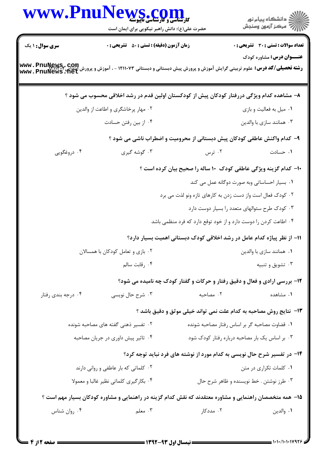|                                    | WWW.PnuNews.com<br>حضرت علی(ع): دانش راهبر نیکویی برای ایمان است                                                                                                                  |                                                                                    | ر دانشڪاه پيام نور<br>دانشڪاه پيام نور       |
|------------------------------------|-----------------------------------------------------------------------------------------------------------------------------------------------------------------------------------|------------------------------------------------------------------------------------|----------------------------------------------|
| سری سوال: ۱ یک                     | <b>زمان آزمون (دقیقه) : تستی : 80 ٪ تشریحی : 0</b>                                                                                                                                |                                                                                    | <b>تعداد سوالات : تستی : 30 ٪ تشریحی : 0</b> |
|                                    | <b>رشته تحصیلی/کد درس:</b> علوم تربیتی گرایش آموزش و پرورش پیش دبستانی و دبستانی ۱۲۱۱۰۷۳ - ، آموزش و پرورش ایتدایی <b>۱۳۱۲۰۲۰۰۰ به www . PnuNews . net</b><br>www . PnuNews . net |                                                                                    | <b>عنـــوان درس:</b> مشاوره کودک             |
|                                    | ۸– مشاهده کدام ویژگی دررفتار کودکان پیش از کودکستان اولین قدم در رشد اخلاقی محسوب می شود ؟                                                                                        |                                                                                    |                                              |
|                                    | ۰۲ مهار پرخاشگری و اطاعت از والدین                                                                                                                                                |                                                                                    | ۰۱ میل به فعالیت و بازی                      |
|                                    | ۰۴ از بین رفتن حسادت                                                                                                                                                              |                                                                                    | ۰۳ همانند سازی با والدین                     |
|                                    |                                                                                                                                                                                   | ۹- کدام واکنش عاطفی کودکان پیش دبستانی از محرومیت و اضطراب ناشی می شود ؟           |                                              |
| ۰۴ دروغگویی                        | ۰۳ گوشه گیری                                                                                                                                                                      | ۰۲ ترس                                                                             | ۰۱ حسادت                                     |
|                                    |                                                                                                                                                                                   | ۱۰- کدام گزینه ویژگی عاطفی کودک ۱۰ ساله را صحیح بیان کرده است ؟                    |                                              |
|                                    |                                                                                                                                                                                   | ۰۱ بسیار احساساتی وبه صورت دوگانه عمل می کند                                       |                                              |
|                                    |                                                                                                                                                                                   | ۰۲ کودک فعال است واز دست زدن به کارهای تازه ونو لذت می برد                         |                                              |
|                                    |                                                                                                                                                                                   | ۰۳ کودک طرح سئوالهای متعدد را بسیار دوست دارد                                      |                                              |
|                                    |                                                                                                                                                                                   | ۰۴ اطاعت کردن را دوست دارد و از خود توقع دارد که فرد منظمی باشد                    |                                              |
|                                    |                                                                                                                                                                                   | 1۱– از نظر پیاژه کدام عامل در رشد اخلاقی کودک دبستانی اهمیت بسیار دارد؟            |                                              |
|                                    | ۰۲ بازی و تعامل کودکان با همسالان                                                                                                                                                 |                                                                                    | ۰۱ همانند سازی با والدین                     |
|                                    | ۰۴ رقابت سالم                                                                                                                                                                     |                                                                                    | ۰۳ تشويق و تنبيه                             |
|                                    |                                                                                                                                                                                   | <b>۱۲</b> - بررسی ارادی و فعال و دقیق رفتار و حرکات و گفتار کودک چه نامیده می شود؟ |                                              |
| ۰۴ درجه بندي رفتار                 | ۰۳ شرح حال نویسی                                                                                                                                                                  | ۰۲ مصاحبه                                                                          | ٠١ مشاهده                                    |
|                                    |                                                                                                                                                                                   | ۱۳- نتایج روش مصاحبه به کدام علت نمی تواند خیلی موثق و دقیق باشد ؟                 |                                              |
|                                    | ۰۲ تفسیر ذهنی گفته های مصاحبه شونده                                                                                                                                               | ۰۱ قضاوت مصاحبه گر بر اساس رفتار مصاحبه شونده                                      |                                              |
| ۰۴ تاثیر پیش داوری در جریان مصاحبه |                                                                                                                                                                                   | ۰۳ بر اساس یک بار مصاحبه درباره رفتار کودک شود                                     |                                              |
|                                    |                                                                                                                                                                                   | ۱۴- در تفسیر شرح حال نویسی به کدام مورد از نوشته های فرد نباید توجه کرد؟           |                                              |
|                                    | ۰۲ کلماتی که بار عاطفی و روانی دارند                                                                                                                                              |                                                                                    | ۰۱ کلمات تکراری در متن                       |
|                                    | ۰۴ بکارگیری کلماتی نظیر غالبا و معمولا                                                                                                                                            |                                                                                    | ۰۳ طرز نوشتن . خط نویسنده و ظاهر شرح حال     |
|                                    | ۱۵– همه متخصصان راهنمایی و مشاوره معتقدند که نقش کدام گزینه در راهنمایی و مشاوره کودکان بسیار مهم است ؟                                                                           |                                                                                    |                                              |
| ۰۴ روان شناس                       | ۰۳ معلم $\mathfrak{g}$                                                                                                                                                            | ۰۲ مددکار                                                                          | ٠١. والدين                                   |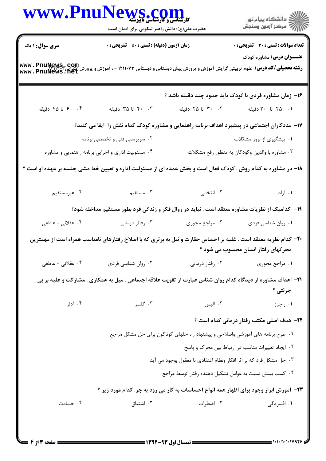| www.Pnul                                                                                                                                                                                                 | <b>WS.COM</b><br>حضرت علی(ع): دانش راهبر نیکویی برای ایمان است |                                                                                 |                                                                                                                                                       |  |  |  |
|----------------------------------------------------------------------------------------------------------------------------------------------------------------------------------------------------------|----------------------------------------------------------------|---------------------------------------------------------------------------------|-------------------------------------------------------------------------------------------------------------------------------------------------------|--|--|--|
| <b>سری سوال : ۱ یک</b>                                                                                                                                                                                   | <b>زمان آزمون (دقیقه) : تستی : 50 ٪ تشریحی : 0</b>             |                                                                                 | تعداد سوالات : تستى : 30 - تشريحي : 0                                                                                                                 |  |  |  |
| <b>عنـــوان درس:</b> مشاوره کودک<br><b>رشته تحصیلی/کد درس:</b> علوم تربیتی گرایش آموزش و پرورش پیش دبستانی و دبستانی ۱۲۱۱۰۷۳ - ، آموزش و پرورش ایتدایی <b>www . PnuNews . net</b><br>www . PnuNews . net |                                                                |                                                                                 |                                                                                                                                                       |  |  |  |
|                                                                                                                                                                                                          |                                                                |                                                                                 | ۱۶- زمان مشاوره فردی با کودک باید حدود چند دقیقه باشد ؟                                                                                               |  |  |  |
| ۴. ۶۰ تا ۴۵ دقیقه                                                                                                                                                                                        | ۴۰ ۴۰ تا ۳۵ دقیقه                                              | ۰۲ تا ۲۵ دقیقه                                                                  | ۰۱ ۲۵ تا ۲۰ دقیقه                                                                                                                                     |  |  |  |
|                                                                                                                                                                                                          |                                                                |                                                                                 | ۱۷– مددکاران اجتماعی در پیشبرد اهداف برنامه راهنمایی و مشاوره کودک کدام نقش را ایفا می کنند؟                                                          |  |  |  |
| ۰۱ پیشگیری از بروز مشکلات<br>۰۲ سرپرستی فنی و تخصصی برنامه                                                                                                                                               |                                                                |                                                                                 |                                                                                                                                                       |  |  |  |
|                                                                                                                                                                                                          | ۰۴ مسئولیت اداری و اجرایی برنامه راهنمایی و مشاوره             |                                                                                 | ۰۳ مشاوره با والدين وكودكان به منظور رفع مشكلات                                                                                                       |  |  |  |
| ۱۸– در مشاوره به کدام روش . کودک فعال است و بخش عمده ای از مسئولیت اداره و تعیین خط مشی جلسه بر عهده او است ؟                                                                                            |                                                                |                                                                                 |                                                                                                                                                       |  |  |  |
| ۰۴ غیرمستقیم                                                                                                                                                                                             | . مستقيم $\cdot$ ۳                                             |                                                                                 | ١. آزاد مستخدم المستخدم المتخابي                                                                                                                      |  |  |  |
|                                                                                                                                                                                                          |                                                                |                                                                                 | ۱۹– کدامیک از نظریات مشاوره معتقد است . نباید در روال فکر و زندگی فرد بطور مستقیم مداخله شود؟                                                         |  |  |  |
| ۰۴ عقلانی - عاطفی                                                                                                                                                                                        | ۰۳ رفتار درمانی                                                | ۰۲ مراجع محوری                                                                  | ٠١ روان شناسي فردي                                                                                                                                    |  |  |  |
|                                                                                                                                                                                                          |                                                                |                                                                                 | +۲- کدام نظریه معتقد است . غلبه بر احساس حقارت و نیل به برتری که با اصلاح رفتارهای نامناسب همراه است از مهمترین<br>محرکهای رفتار انسان محسوب می شود ؟ |  |  |  |
| ۰۴ عقلانی - عاطفی                                                                                                                                                                                        | ۰۳ روان شناسي فردي                                             | ۰۲ رفتار درمانی                                                                 | ۰۱ مراجع محوری                                                                                                                                        |  |  |  |
| <b>۲۱</b> – اهداف مشاوره از دیدگاه کدام روان شناس عبارت از تقویت علاقه اجتماعی . میل به همکاری . مشارکت و غلبه بر بی<br>جرئتي ؟                                                                          |                                                                |                                                                                 |                                                                                                                                                       |  |  |  |
| ۰۴ آدلر                                                                                                                                                                                                  | ۰۳ گلسر                                                        | ۰۲ الیس                                                                         | ۰۱ راجرز                                                                                                                                              |  |  |  |
|                                                                                                                                                                                                          |                                                                |                                                                                 | <b>۲۲</b> - هدف اصلی مکتب رفتار درمانی کدام است ؟                                                                                                     |  |  |  |
|                                                                                                                                                                                                          |                                                                | ۰۱ طرح برنامه های آموزشی واصلاحی و پیشنهاد راه حلهای گوناگون برای حل مشکل مراجع |                                                                                                                                                       |  |  |  |
|                                                                                                                                                                                                          |                                                                |                                                                                 | ٠٢ ايجاد تغييرات مناسب در ارتباط بين محرك و پاسخ                                                                                                      |  |  |  |
|                                                                                                                                                                                                          |                                                                | ۰۳ حل مشکل فرد که بر اثر افکار ونظام اعتقادی نا معقول بوجود می آید              |                                                                                                                                                       |  |  |  |
|                                                                                                                                                                                                          |                                                                | ۰۴ کسب بینش نسبت به عوامل تشکیل دهنده رفتار توسط مراجع                          |                                                                                                                                                       |  |  |  |
|                                                                                                                                                                                                          |                                                                |                                                                                 | <b>۲۳</b> - آموزش ابراز وجود برای اظهار همه انواع احساسات به کار می رود به جز. کدام مورد زیر ؟                                                        |  |  |  |
| ۰۴ حسادت                                                                                                                                                                                                 | ۰۳ اشتیاق                                                      | ۰۲ اضطراب                                                                       | ۰۱ افسردگی                                                                                                                                            |  |  |  |
|                                                                                                                                                                                                          |                                                                |                                                                                 |                                                                                                                                                       |  |  |  |

 $= 1.11/1.1119975$